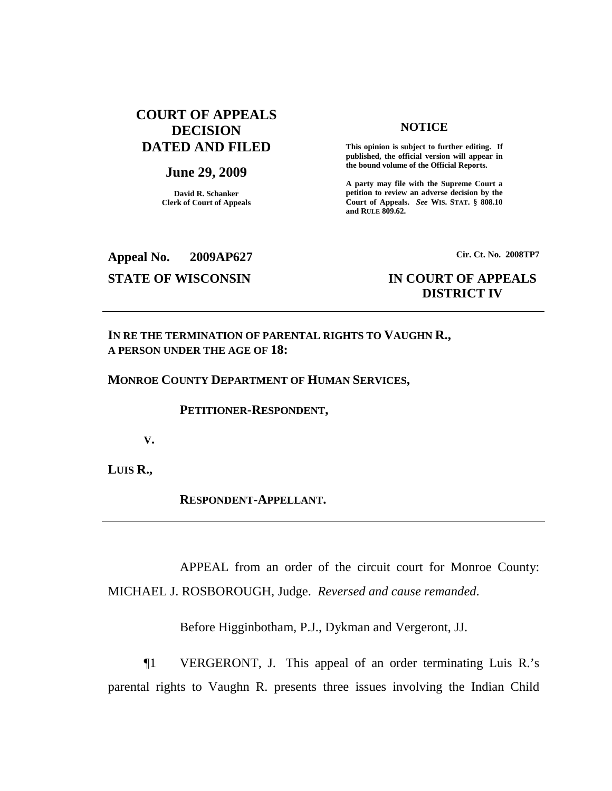# **COURT OF APPEALS DECISION DATED AND FILED**

## **June 29, 2009**

**David R. Schanker Clerk of Court of Appeals**

### **NOTICE**

**This opinion is subject to further editing. If published, the official version will appear in the bound volume of the Official Reports.**

**A party may file with the Supreme Court a petition to review an adverse decision by the Court of Appeals.** *See* **WIS. STAT. § 808.10 and RULE 809.62.**

**Appeal No. 2009AP627**

# **Cir. Ct. No. 2008TP7**

# **STATE OF WISCONSIN IN COURT OF APPEALS DISTRICT IV**

**IN RE THE TERMINATION OF PARENTAL RIGHTS TO VAUGHN R., A PERSON UNDER THE AGE OF 18:**

**MONROE COUNTY DEPARTMENT OF HUMAN SERVICES,**

**PETITIONER-RESPONDENT,**

**V.**

**LUIS R.,**

**RESPONDENT-APPELLANT.**

APPEAL from an order of the circuit court for Monroe County: MICHAEL J. ROSBOROUGH, Judge. *Reversed and cause remanded*.

Before Higginbotham, P.J., Dykman and Vergeront, JJ.

¶1 VERGERONT, J. This appeal of an order terminating Luis R.'s parental rights to Vaughn R. presents three issues involving the Indian Child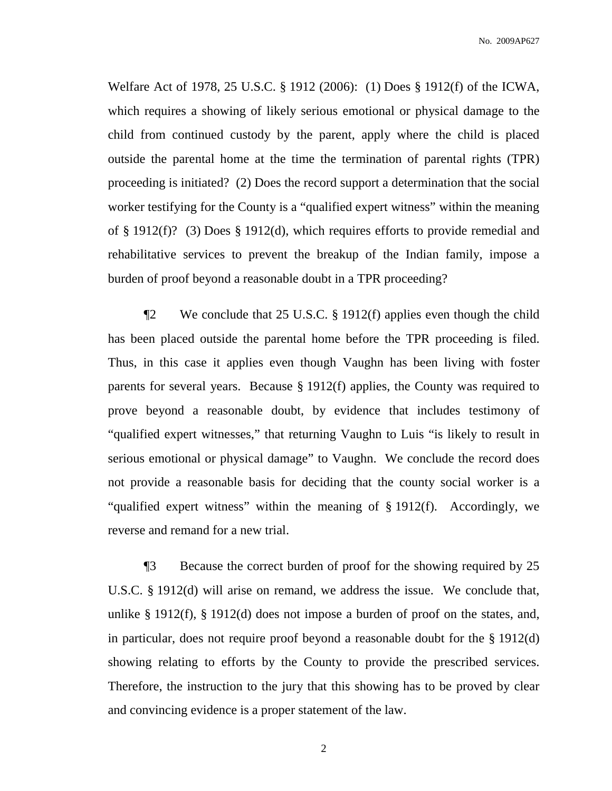Welfare Act of 1978, 25 U.S.C. § 1912 (2006): (1) Does § 1912(f) of the ICWA, which requires a showing of likely serious emotional or physical damage to the child from continued custody by the parent, apply where the child is placed outside the parental home at the time the termination of parental rights (TPR) proceeding is initiated? (2) Does the record support a determination that the social worker testifying for the County is a "qualified expert witness" within the meaning of § 1912(f)? (3) Does § 1912(d), which requires efforts to provide remedial and rehabilitative services to prevent the breakup of the Indian family, impose a burden of proof beyond a reasonable doubt in a TPR proceeding?

¶2 We conclude that 25 U.S.C. § 1912(f) applies even though the child has been placed outside the parental home before the TPR proceeding is filed. Thus, in this case it applies even though Vaughn has been living with foster parents for several years. Because § 1912(f) applies, the County was required to prove beyond a reasonable doubt, by evidence that includes testimony of "qualified expert witnesses," that returning Vaughn to Luis "is likely to result in serious emotional or physical damage" to Vaughn. We conclude the record does not provide a reasonable basis for deciding that the county social worker is a "qualified expert witness" within the meaning of § 1912(f). Accordingly, we reverse and remand for a new trial.

¶3 Because the correct burden of proof for the showing required by 25 U.S.C. § 1912(d) will arise on remand, we address the issue. We conclude that, unlike § 1912(f), § 1912(d) does not impose a burden of proof on the states, and, in particular, does not require proof beyond a reasonable doubt for the § 1912(d) showing relating to efforts by the County to provide the prescribed services. Therefore, the instruction to the jury that this showing has to be proved by clear and convincing evidence is a proper statement of the law.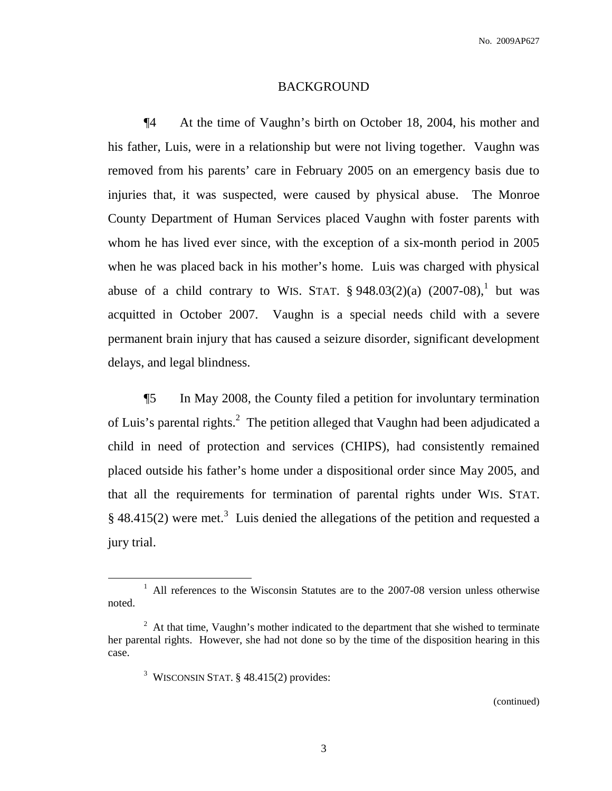### BACKGROUND

¶4 At the time of Vaughn's birth on October 18, 2004, his mother and his father, Luis, were in a relationship but were not living together. Vaughn was removed from his parents' care in February 2005 on an emergency basis due to injuries that, it was suspected, were caused by physical abuse. The Monroe County Department of Human Services placed Vaughn with foster parents with whom he has lived ever since, with the exception of a six-month period in 2005 when he was placed back in his mother's home. Luis was charged with physical abuse of a child contrary to WIS. STAT.  $\S 948.03(2)(a)$   $(2007-08)$ , but was acquitted in October 2007. Vaughn is a special needs child with a severe permanent brain injury that has caused a seizure disorder, significant development delays, and legal blindness.

¶5 In May 2008, the County filed a petition for involuntary termination of Luis's parental rights.<sup>2</sup> The petition alleged that Vaughn had been adjudicated a child in need of protection and services (CHIPS), had consistently remained placed outside his father's home under a dispositional order since May 2005, and that all the requirements for termination of parental rights under WIS. STAT.  $\S$  48.415(2) were met.<sup>3</sup> Luis denied the allegations of the petition and requested a jury trial.

 $1$  All references to the Wisconsin Statutes are to the 2007-08 version unless otherwise noted.

 $2<sup>2</sup>$  At that time, Vaughn's mother indicated to the department that she wished to terminate her parental rights. However, she had not done so by the time of the disposition hearing in this case.

<sup>&</sup>lt;sup>3</sup> WISCONSIN STAT, § 48.415(2) provides: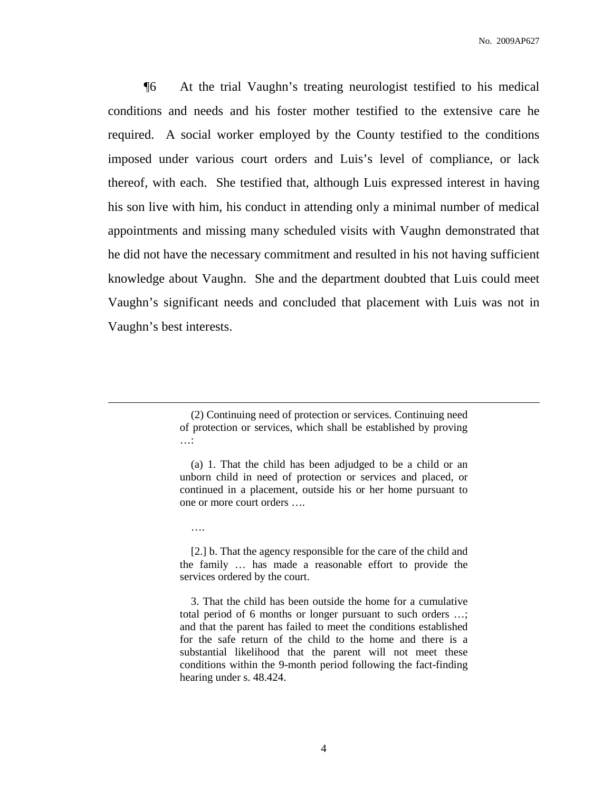¶6 At the trial Vaughn's treating neurologist testified to his medical conditions and needs and his foster mother testified to the extensive care he required. A social worker employed by the County testified to the conditions imposed under various court orders and Luis's level of compliance, or lack thereof, with each. She testified that, although Luis expressed interest in having his son live with him, his conduct in attending only a minimal number of medical appointments and missing many scheduled visits with Vaughn demonstrated that he did not have the necessary commitment and resulted in his not having sufficient knowledge about Vaughn. She and the department doubted that Luis could meet Vaughn's significant needs and concluded that placement with Luis was not in Vaughn's best interests.

….

<sup>(2)</sup> Continuing need of protection or services. Continuing need of protection or services, which shall be established by proving …:

<sup>(</sup>a) 1. That the child has been adjudged to be a child or an unborn child in need of protection or services and placed, or continued in a placement, outside his or her home pursuant to one or more court orders ….

<sup>[2.]</sup> b. That the agency responsible for the care of the child and the family … has made a reasonable effort to provide the services ordered by the court.

<sup>3.</sup> That the child has been outside the home for a cumulative total period of 6 months or longer pursuant to such orders …; and that the parent has failed to meet the conditions established for the safe return of the child to the home and there is a substantial likelihood that the parent will not meet these conditions within the 9-month period following the fact-finding hearing under s. 48.424.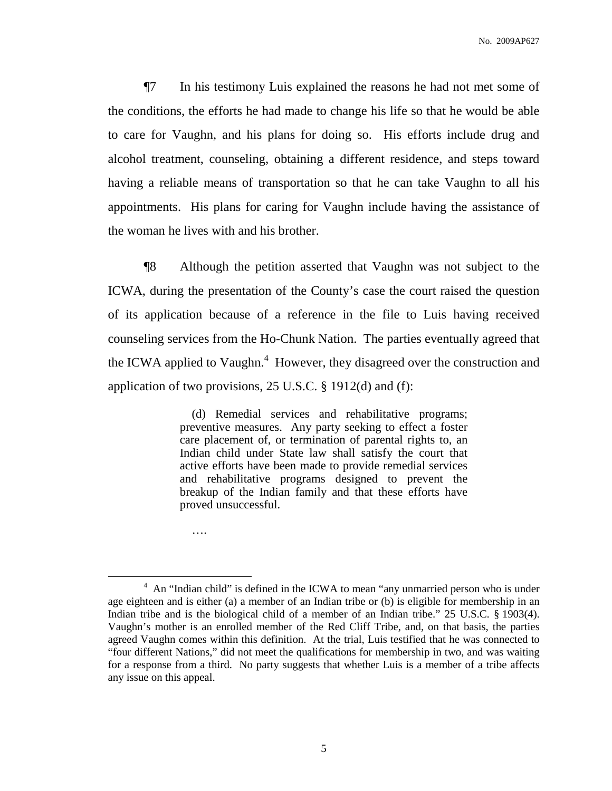¶7 In his testimony Luis explained the reasons he had not met some of the conditions, the efforts he had made to change his life so that he would be able to care for Vaughn, and his plans for doing so. His efforts include drug and alcohol treatment, counseling, obtaining a different residence, and steps toward having a reliable means of transportation so that he can take Vaughn to all his appointments. His plans for caring for Vaughn include having the assistance of the woman he lives with and his brother.

¶8 Although the petition asserted that Vaughn was not subject to the ICWA, during the presentation of the County's case the court raised the question of its application because of a reference in the file to Luis having received counseling services from the Ho-Chunk Nation. The parties eventually agreed that the ICWA applied to Vaughn.<sup>4</sup> However, they disagreed over the construction and application of two provisions, 25 U.S.C. § 1912(d) and (f):

> (d) Remedial services and rehabilitative programs; preventive measures. Any party seeking to effect a foster care placement of, or termination of parental rights to, an Indian child under State law shall satisfy the court that active efforts have been made to provide remedial services and rehabilitative programs designed to prevent the breakup of the Indian family and that these efforts have proved unsuccessful.

….

<sup>&</sup>lt;sup>4</sup> An "Indian child" is defined in the ICWA to mean "any unmarried person who is under age eighteen and is either (a) a member of an Indian tribe or (b) is eligible for membership in an Indian tribe and is the biological child of a member of an Indian tribe." 25 U.S.C. § 1903(4). Vaughn's mother is an enrolled member of the Red Cliff Tribe, and, on that basis, the parties agreed Vaughn comes within this definition. At the trial, Luis testified that he was connected to "four different Nations," did not meet the qualifications for membership in two, and was waiting for a response from a third. No party suggests that whether Luis is a member of a tribe affects any issue on this appeal.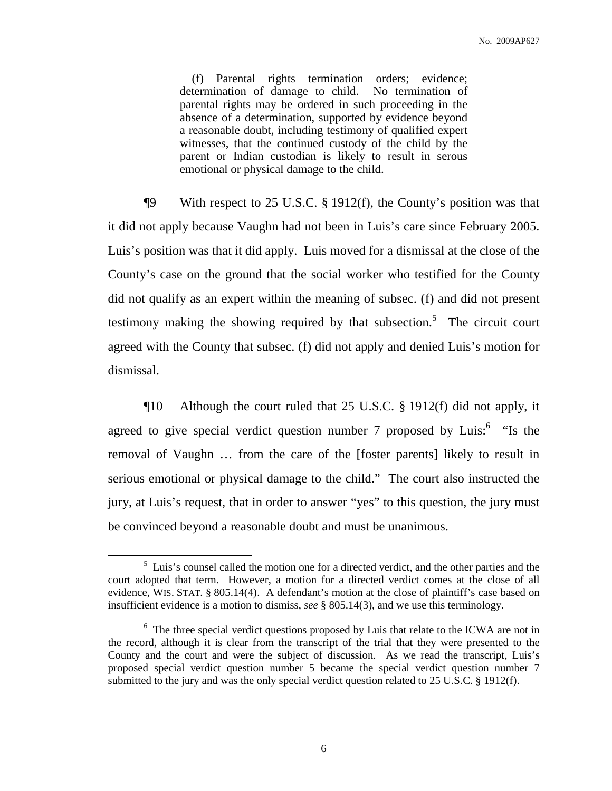(f) Parental rights termination orders; evidence; determination of damage to child. No termination of parental rights may be ordered in such proceeding in the absence of a determination, supported by evidence beyond a reasonable doubt, including testimony of qualified expert witnesses, that the continued custody of the child by the parent or Indian custodian is likely to result in serous emotional or physical damage to the child.

¶9 With respect to 25 U.S.C. § 1912(f), the County's position was that it did not apply because Vaughn had not been in Luis's care since February 2005. Luis's position was that it did apply. Luis moved for a dismissal at the close of the County's case on the ground that the social worker who testified for the County did not qualify as an expert within the meaning of subsec. (f) and did not present testimony making the showing required by that subsection.<sup>5</sup> The circuit court agreed with the County that subsec. (f) did not apply and denied Luis's motion for dismissal.

¶10 Although the court ruled that 25 U.S.C. § 1912(f) did not apply, it agreed to give special verdict question number 7 proposed by Luis:<sup>6</sup> "Is the removal of Vaughn … from the care of the [foster parents] likely to result in serious emotional or physical damage to the child." The court also instructed the jury, at Luis's request, that in order to answer "yes" to this question, the jury must be convinced beyond a reasonable doubt and must be unanimous.

 $<sup>5</sup>$  Luis's counsel called the motion one for a directed verdict, and the other parties and the</sup> court adopted that term. However, a motion for a directed verdict comes at the close of all evidence, WIS. STAT. § 805.14(4). A defendant's motion at the close of plaintiff's case based on insufficient evidence is a motion to dismiss, *see* § 805.14(3), and we use this terminology.

<sup>&</sup>lt;sup>6</sup> The three special verdict questions proposed by Luis that relate to the ICWA are not in the record, although it is clear from the transcript of the trial that they were presented to the County and the court and were the subject of discussion. As we read the transcript, Luis's proposed special verdict question number 5 became the special verdict question number 7 submitted to the jury and was the only special verdict question related to 25 U.S.C. § 1912(f).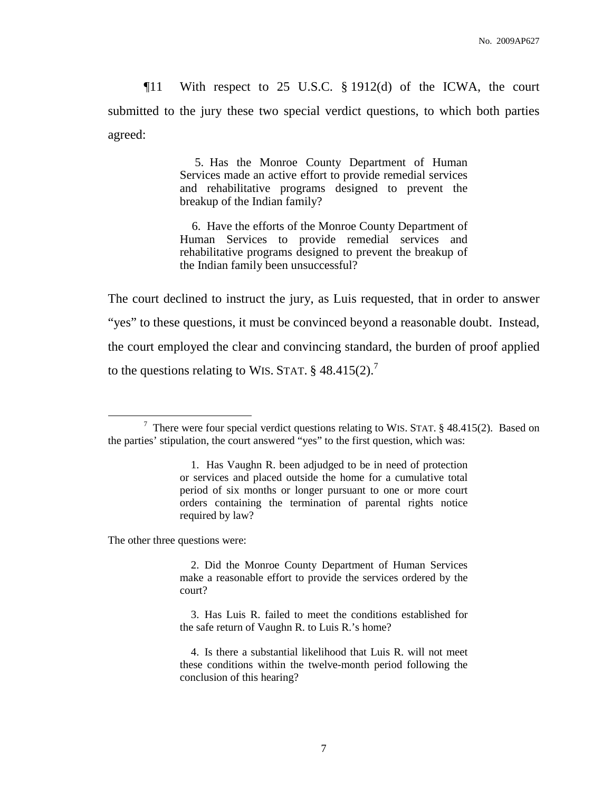¶11 With respect to 25 U.S.C. § 1912(d) of the ICWA, the court submitted to the jury these two special verdict questions, to which both parties agreed:

> 5. Has the Monroe County Department of Human Services made an active effort to provide remedial services and rehabilitative programs designed to prevent the breakup of the Indian family?

> 6. Have the efforts of the Monroe County Department of Human Services to provide remedial services and rehabilitative programs designed to prevent the breakup of the Indian family been unsuccessful?

The court declined to instruct the jury, as Luis requested, that in order to answer "yes" to these questions, it must be convinced beyond a reasonable doubt. Instead, the court employed the clear and convincing standard, the burden of proof applied to the questions relating to WIS. STAT.  $\S$  48.415(2).<sup>7</sup>

The other three questions were:

2. Did the Monroe County Department of Human Services make a reasonable effort to provide the services ordered by the court?

<sup>7</sup> There were four special verdict questions relating to WIS. STAT. § 48.415(2). Based on the parties' stipulation, the court answered "yes" to the first question, which was:

<sup>1.</sup> Has Vaughn R. been adjudged to be in need of protection or services and placed outside the home for a cumulative total period of six months or longer pursuant to one or more court orders containing the termination of parental rights notice required by law?

<sup>3.</sup> Has Luis R. failed to meet the conditions established for the safe return of Vaughn R. to Luis R.'s home?

<sup>4.</sup> Is there a substantial likelihood that Luis R. will not meet these conditions within the twelve-month period following the conclusion of this hearing?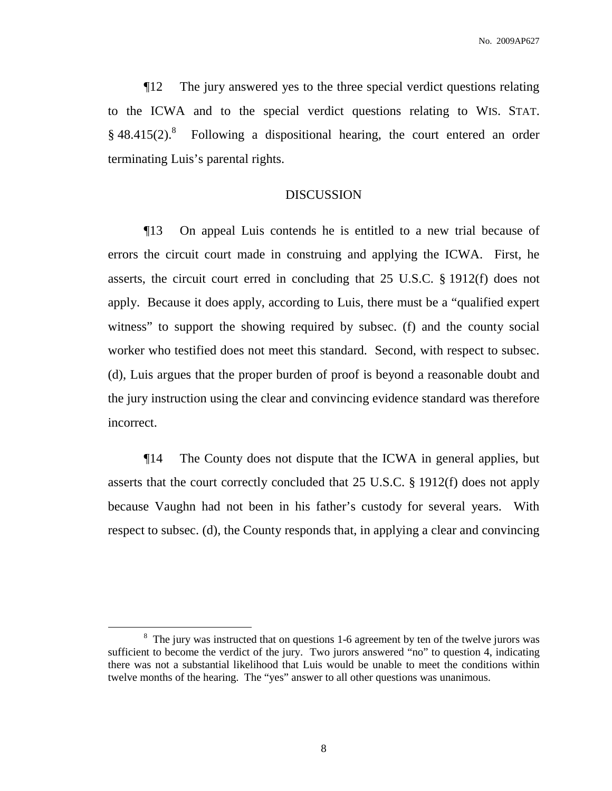¶12 The jury answered yes to the three special verdict questions relating to the ICWA and to the special verdict questions relating to WIS. STAT. § 48.415(2).<sup>8</sup> Following a dispositional hearing, the court entered an order terminating Luis's parental rights.

# DISCUSSION

¶13 On appeal Luis contends he is entitled to a new trial because of errors the circuit court made in construing and applying the ICWA. First, he asserts, the circuit court erred in concluding that 25 U.S.C. § 1912(f) does not apply. Because it does apply, according to Luis, there must be a "qualified expert witness" to support the showing required by subsec. (f) and the county social worker who testified does not meet this standard. Second, with respect to subsec. (d), Luis argues that the proper burden of proof is beyond a reasonable doubt and the jury instruction using the clear and convincing evidence standard was therefore incorrect.

¶14 The County does not dispute that the ICWA in general applies, but asserts that the court correctly concluded that 25 U.S.C. § 1912(f) does not apply because Vaughn had not been in his father's custody for several years. With respect to subsec. (d), the County responds that, in applying a clear and convincing

<sup>&</sup>lt;sup>8</sup> The jury was instructed that on questions 1-6 agreement by ten of the twelve jurors was sufficient to become the verdict of the jury. Two jurors answered "no" to question 4, indicating there was not a substantial likelihood that Luis would be unable to meet the conditions within twelve months of the hearing. The "yes" answer to all other questions was unanimous.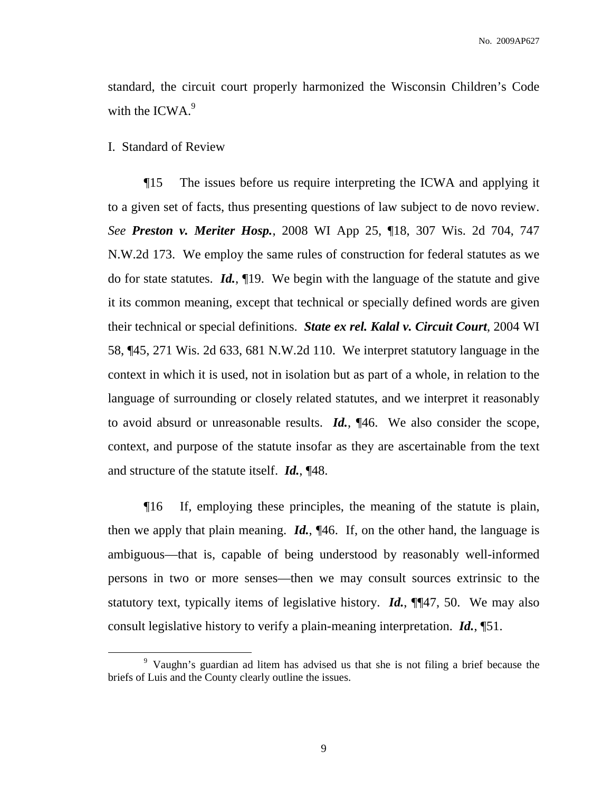standard, the circuit court properly harmonized the Wisconsin Children's Code with the ICWA. $9$ 

I. Standard of Review

¶15 The issues before us require interpreting the ICWA and applying it to a given set of facts, thus presenting questions of law subject to de novo review. *See Preston v. Meriter Hosp.*, 2008 WI App 25, ¶18, 307 Wis. 2d 704, 747 N.W.2d 173. We employ the same rules of construction for federal statutes as we do for state statutes. *Id.*, ¶19. We begin with the language of the statute and give it its common meaning, except that technical or specially defined words are given their technical or special definitions. *State ex rel. Kalal v. Circuit Court*, 2004 WI 58, ¶45, 271 Wis. 2d 633, 681 N.W.2d 110. We interpret statutory language in the context in which it is used, not in isolation but as part of a whole, in relation to the language of surrounding or closely related statutes, and we interpret it reasonably to avoid absurd or unreasonable results. *Id.*, ¶46. We also consider the scope, context, and purpose of the statute insofar as they are ascertainable from the text and structure of the statute itself. *Id.*, ¶48.

¶16 If, employing these principles, the meaning of the statute is plain, then we apply that plain meaning. *Id.*, ¶46. If, on the other hand, the language is ambiguous—that is, capable of being understood by reasonably well-informed persons in two or more senses—then we may consult sources extrinsic to the statutory text, typically items of legislative history. *Id.*, ¶¶47, 50. We may also consult legislative history to verify a plain-meaning interpretation. *Id.*, ¶51.

<sup>9</sup> Vaughn's guardian ad litem has advised us that she is not filing a brief because the briefs of Luis and the County clearly outline the issues.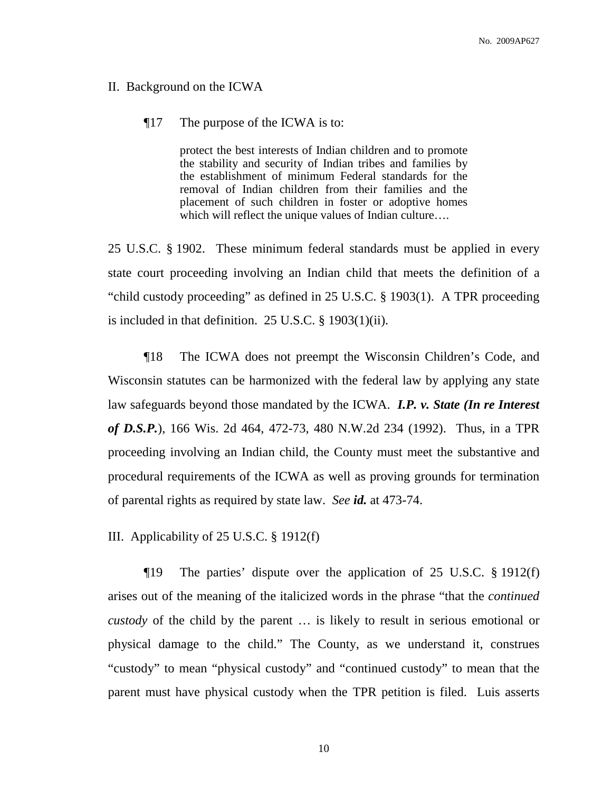### II. Background on the ICWA

## ¶17 The purpose of the ICWA is to:

protect the best interests of Indian children and to promote the stability and security of Indian tribes and families by the establishment of minimum Federal standards for the removal of Indian children from their families and the placement of such children in foster or adoptive homes which will reflect the unique values of Indian culture….

25 U.S.C. § 1902. These minimum federal standards must be applied in every state court proceeding involving an Indian child that meets the definition of a "child custody proceeding" as defined in 25 U.S.C. § 1903(1). A TPR proceeding is included in that definition. 25 U.S.C. § 1903(1)(ii).

¶18 The ICWA does not preempt the Wisconsin Children's Code, and Wisconsin statutes can be harmonized with the federal law by applying any state law safeguards beyond those mandated by the ICWA. *I.P. v. State (In re Interest of D.S.P.*), 166 Wis. 2d 464, 472-73, 480 N.W.2d 234 (1992). Thus, in a TPR proceeding involving an Indian child, the County must meet the substantive and procedural requirements of the ICWA as well as proving grounds for termination of parental rights as required by state law. *See id.* at 473-74.

III. Applicability of 25 U.S.C. § 1912(f)

¶19 The parties' dispute over the application of 25 U.S.C. § 1912(f) arises out of the meaning of the italicized words in the phrase "that the *continued custody* of the child by the parent … is likely to result in serious emotional or physical damage to the child." The County, as we understand it, construes "custody" to mean "physical custody" and "continued custody" to mean that the parent must have physical custody when the TPR petition is filed. Luis asserts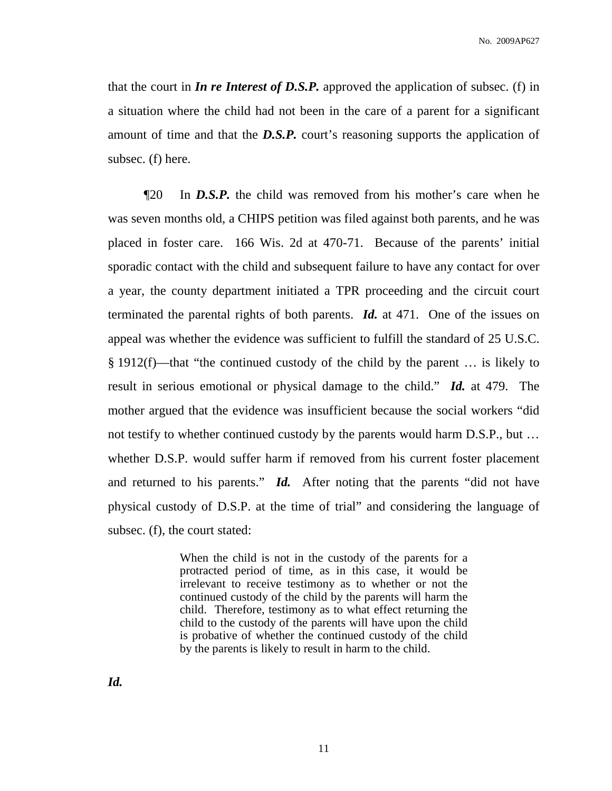that the court in *In re Interest of D.S.P.* approved the application of subsec. (f) in a situation where the child had not been in the care of a parent for a significant amount of time and that the *D.S.P.* court's reasoning supports the application of subsec. (f) here.

¶20 In *D.S.P.* the child was removed from his mother's care when he was seven months old, a CHIPS petition was filed against both parents, and he was placed in foster care. 166 Wis. 2d at 470-71. Because of the parents' initial sporadic contact with the child and subsequent failure to have any contact for over a year, the county department initiated a TPR proceeding and the circuit court terminated the parental rights of both parents. *Id.* at 471. One of the issues on appeal was whether the evidence was sufficient to fulfill the standard of 25 U.S.C. § 1912(f)—that "the continued custody of the child by the parent … is likely to result in serious emotional or physical damage to the child." *Id.* at 479. The mother argued that the evidence was insufficient because the social workers "did not testify to whether continued custody by the parents would harm D.S.P., but … whether D.S.P. would suffer harm if removed from his current foster placement and returned to his parents." *Id.* After noting that the parents "did not have physical custody of D.S.P. at the time of trial" and considering the language of subsec. (f), the court stated:

> When the child is not in the custody of the parents for a protracted period of time, as in this case, it would be irrelevant to receive testimony as to whether or not the continued custody of the child by the parents will harm the child. Therefore, testimony as to what effect returning the child to the custody of the parents will have upon the child is probative of whether the continued custody of the child by the parents is likely to result in harm to the child.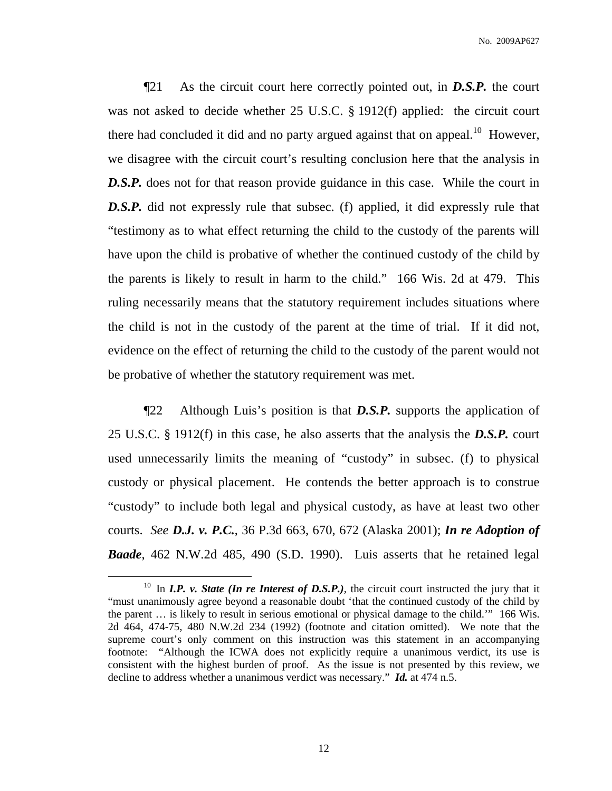¶21 As the circuit court here correctly pointed out, in *D.S.P.* the court was not asked to decide whether 25 U.S.C. § 1912(f) applied: the circuit court there had concluded it did and no party argued against that on appeal.<sup>10</sup> However, we disagree with the circuit court's resulting conclusion here that the analysis in **D.S.P.** does not for that reason provide guidance in this case. While the court in **D.S.P.** did not expressly rule that subsec. (f) applied, it did expressly rule that "testimony as to what effect returning the child to the custody of the parents will have upon the child is probative of whether the continued custody of the child by the parents is likely to result in harm to the child." 166 Wis. 2d at 479. This ruling necessarily means that the statutory requirement includes situations where the child is not in the custody of the parent at the time of trial. If it did not, evidence on the effect of returning the child to the custody of the parent would not be probative of whether the statutory requirement was met.

¶22 Although Luis's position is that *D.S.P.* supports the application of 25 U.S.C. § 1912(f) in this case, he also asserts that the analysis the *D.S.P.* court used unnecessarily limits the meaning of "custody" in subsec. (f) to physical custody or physical placement. He contends the better approach is to construe "custody" to include both legal and physical custody, as have at least two other courts. *See D.J. v. P.C.*, 36 P.3d 663, 670, 672 (Alaska 2001); *In re Adoption of Baade*, 462 N.W.2d 485, 490 (S.D. 1990). Luis asserts that he retained legal

<sup>10</sup> In *I.P. v. State (In re Interest of D.S.P.)*, the circuit court instructed the jury that it "must unanimously agree beyond a reasonable doubt 'that the continued custody of the child by the parent … is likely to result in serious emotional or physical damage to the child.'" 166 Wis. 2d 464, 474-75, 480 N.W.2d 234 (1992) (footnote and citation omitted). We note that the supreme court's only comment on this instruction was this statement in an accompanying footnote: "Although the ICWA does not explicitly require a unanimous verdict, its use is consistent with the highest burden of proof. As the issue is not presented by this review, we decline to address whether a unanimous verdict was necessary." *Id.* at 474 n.5.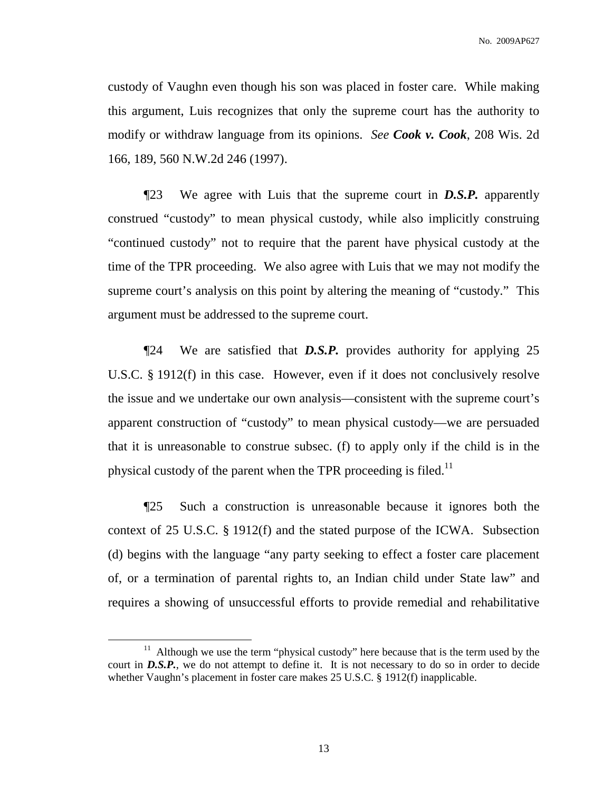custody of Vaughn even though his son was placed in foster care. While making this argument, Luis recognizes that only the supreme court has the authority to modify or withdraw language from its opinions. *See Cook v. Cook*, 208 Wis. 2d 166, 189, 560 N.W.2d 246 (1997).

¶23 We agree with Luis that the supreme court in *D.S.P.* apparently construed "custody" to mean physical custody, while also implicitly construing "continued custody" not to require that the parent have physical custody at the time of the TPR proceeding. We also agree with Luis that we may not modify the supreme court's analysis on this point by altering the meaning of "custody." This argument must be addressed to the supreme court.

¶24 We are satisfied that *D.S.P.* provides authority for applying 25 U.S.C. § 1912(f) in this case. However, even if it does not conclusively resolve the issue and we undertake our own analysis—consistent with the supreme court's apparent construction of "custody" to mean physical custody—we are persuaded that it is unreasonable to construe subsec. (f) to apply only if the child is in the physical custody of the parent when the TPR proceeding is filed.<sup>11</sup>

¶25 Such a construction is unreasonable because it ignores both the context of 25 U.S.C. § 1912(f) and the stated purpose of the ICWA. Subsection (d) begins with the language "any party seeking to effect a foster care placement of, or a termination of parental rights to, an Indian child under State law" and requires a showing of unsuccessful efforts to provide remedial and rehabilitative

 $11$  Although we use the term "physical custody" here because that is the term used by the court in **D.S.P.**, we do not attempt to define it. It is not necessary to do so in order to decide whether Vaughn's placement in foster care makes 25 U.S.C. § 1912(f) inapplicable.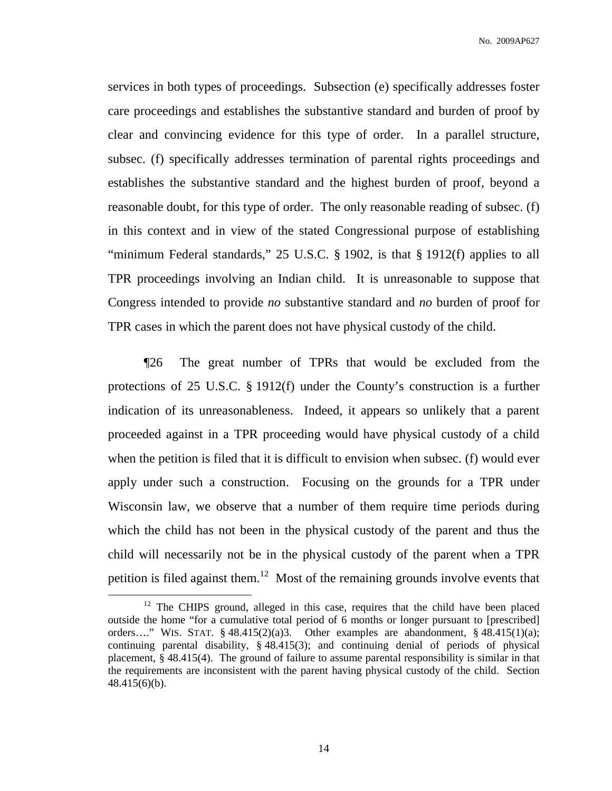No. 2009AP627

services in both types of proceedings. Subsection (e) specifically addresses foster care proceedings and establishes the substantive standard and burden of proof by clear and convincing evidence for this type of order. In a parallel structure, subsec. (f) specifically addresses termination of parental rights proceedings and establishes the substantive standard and the highest burden of proof, beyond a reasonable doubt, for this type of order. The only reasonable reading of subsec. (f) in this context and in view of the stated Congressional purpose of establishing "minimum Federal standards," 25 U.S.C. § 1902, is that § 1912(f) applies to all TPR proceedings involving an Indian child. It is unreasonable to suppose that Congress intended to provide *no* substantive standard and *no* burden of proof for TPR cases in which the parent does not have physical custody of the child.

¶26 The great number of TPRs that would be excluded from the protections of 25 U.S.C. § 1912(f) under the County's construction is a further indication of its unreasonableness. Indeed, it appears so unlikely that a parent proceeded against in a TPR proceeding would have physical custody of a child when the petition is filed that it is difficult to envision when subsec. (f) would ever apply under such a construction. Focusing on the grounds for a TPR under Wisconsin law, we observe that a number of them require time periods during which the child has not been in the physical custody of the parent and thus the child will necessarily not be in the physical custody of the parent when a TPR petition is filed against them.<sup>12</sup> Most of the remaining grounds involve events that

<sup>&</sup>lt;sup>12</sup> The CHIPS ground, alleged in this case, requires that the child have been placed outside the home "for a cumulative total period of 6 months or longer pursuant to [prescribed] orders…." WIS. STAT.  $\S$  48.415(2)(a)3. Other examples are abandonment,  $\S$  48.415(1)(a); continuing parental disability, § 48.415(3); and continuing denial of periods of physical placement, § 48.415(4). The ground of failure to assume parental responsibility is similar in that the requirements are inconsistent with the parent having physical custody of the child. Section 48.415(6)(b).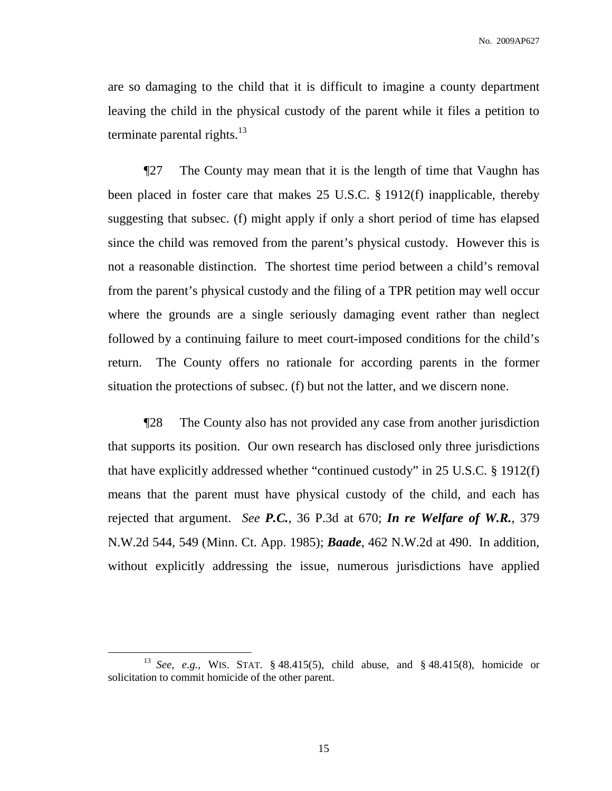are so damaging to the child that it is difficult to imagine a county department leaving the child in the physical custody of the parent while it files a petition to terminate parental rights.<sup>13</sup>

¶27 The County may mean that it is the length of time that Vaughn has been placed in foster care that makes 25 U.S.C. § 1912(f) inapplicable, thereby suggesting that subsec. (f) might apply if only a short period of time has elapsed since the child was removed from the parent's physical custody. However this is not a reasonable distinction. The shortest time period between a child's removal from the parent's physical custody and the filing of a TPR petition may well occur where the grounds are a single seriously damaging event rather than neglect followed by a continuing failure to meet court-imposed conditions for the child's return. The County offers no rationale for according parents in the former situation the protections of subsec. (f) but not the latter, and we discern none.

¶28 The County also has not provided any case from another jurisdiction that supports its position. Our own research has disclosed only three jurisdictions that have explicitly addressed whether "continued custody" in 25 U.S.C. § 1912(f) means that the parent must have physical custody of the child, and each has rejected that argument. *See P.C.*, 36 P.3d at 670; *In re Welfare of W.R.*, 379 N.W.2d 544, 549 (Minn. Ct. App. 1985); *Baade*, 462 N.W.2d at 490. In addition, without explicitly addressing the issue, numerous jurisdictions have applied

<sup>13</sup> *See, e.g.*, WIS. STAT. § 48.415(5), child abuse, and § 48.415(8), homicide or solicitation to commit homicide of the other parent.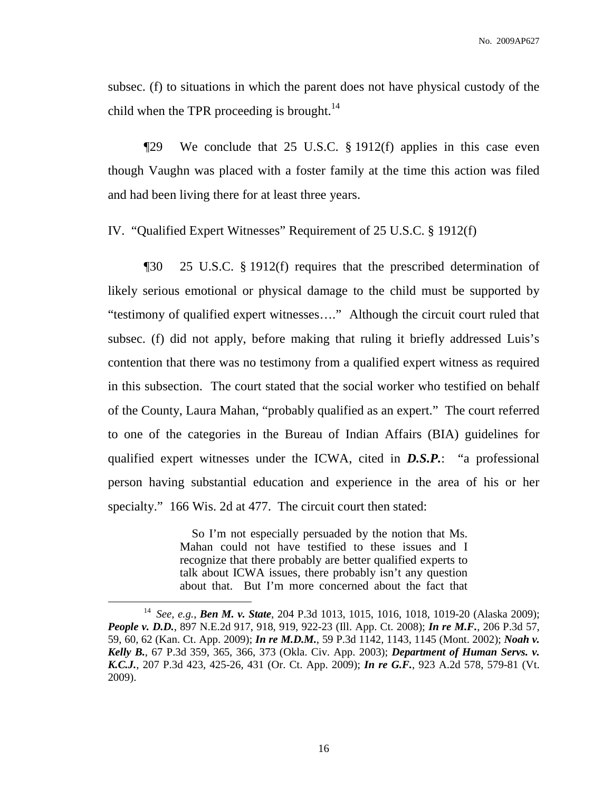subsec. (f) to situations in which the parent does not have physical custody of the child when the TPR proceeding is brought.<sup>14</sup>

¶29 We conclude that 25 U.S.C. § 1912(f) applies in this case even though Vaughn was placed with a foster family at the time this action was filed and had been living there for at least three years.

IV. "Qualified Expert Witnesses" Requirement of 25 U.S.C. § 1912(f)

¶30 25 U.S.C. § 1912(f) requires that the prescribed determination of likely serious emotional or physical damage to the child must be supported by "testimony of qualified expert witnesses…." Although the circuit court ruled that subsec. (f) did not apply, before making that ruling it briefly addressed Luis's contention that there was no testimony from a qualified expert witness as required in this subsection. The court stated that the social worker who testified on behalf of the County, Laura Mahan, "probably qualified as an expert." The court referred to one of the categories in the Bureau of Indian Affairs (BIA) guidelines for qualified expert witnesses under the ICWA, cited in *D.S.P.*: "a professional person having substantial education and experience in the area of his or her specialty." 166 Wis. 2d at 477. The circuit court then stated:

> So I'm not especially persuaded by the notion that Ms. Mahan could not have testified to these issues and I recognize that there probably are better qualified experts to talk about ICWA issues, there probably isn't any question about that. But I'm more concerned about the fact that

<sup>14</sup> *See, e.g.*, *Ben M. v. State*, 204 P.3d 1013, 1015, 1016, 1018, 1019-20 (Alaska 2009); *People v. D.D.*, 897 N.E.2d 917, 918, 919, 922-23 (Ill. App. Ct. 2008); *In re M.F.*, 206 P.3d 57, 59, 60, 62 (Kan. Ct. App. 2009); *In re M.D.M.*, 59 P.3d 1142, 1143, 1145 (Mont. 2002); *Noah v. Kelly B.*, 67 P.3d 359, 365, 366, 373 (Okla. Civ. App. 2003); *Department of Human Servs. v. K.C.J.*, 207 P.3d 423, 425-26, 431 (Or. Ct. App. 2009); *In re G.F.*, 923 A.2d 578, 579-81 (Vt. 2009).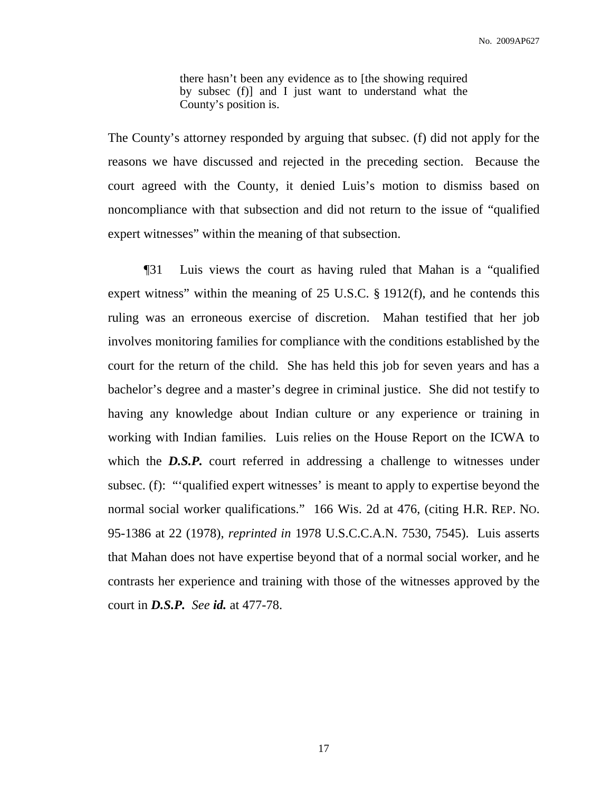there hasn't been any evidence as to [the showing required by subsec (f)] and I just want to understand what the County's position is.

The County's attorney responded by arguing that subsec. (f) did not apply for the reasons we have discussed and rejected in the preceding section. Because the court agreed with the County, it denied Luis's motion to dismiss based on noncompliance with that subsection and did not return to the issue of "qualified expert witnesses" within the meaning of that subsection.

¶31 Luis views the court as having ruled that Mahan is a "qualified expert witness" within the meaning of 25 U.S.C. § 1912(f), and he contends this ruling was an erroneous exercise of discretion. Mahan testified that her job involves monitoring families for compliance with the conditions established by the court for the return of the child. She has held this job for seven years and has a bachelor's degree and a master's degree in criminal justice. She did not testify to having any knowledge about Indian culture or any experience or training in working with Indian families. Luis relies on the House Report on the ICWA to which the **D.S.P.** court referred in addressing a challenge to witnesses under subsec. (f): "'qualified expert witnesses' is meant to apply to expertise beyond the normal social worker qualifications." 166 Wis. 2d at 476, (citing H.R. REP. NO. 95-1386 at 22 (1978), *reprinted in* 1978 U.S.C.C.A.N. 7530, 7545). Luis asserts that Mahan does not have expertise beyond that of a normal social worker, and he contrasts her experience and training with those of the witnesses approved by the court in *D.S.P. See id.* at 477-78.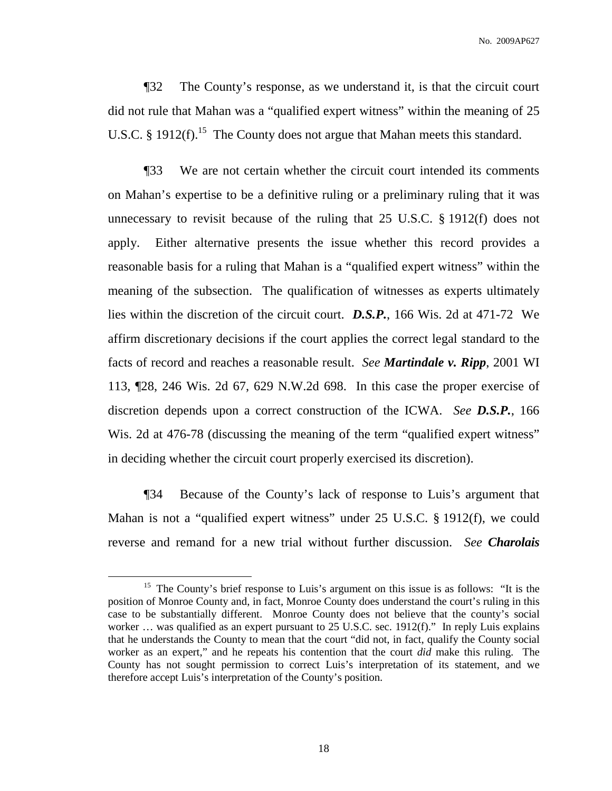¶32 The County's response, as we understand it, is that the circuit court did not rule that Mahan was a "qualified expert witness" within the meaning of 25 U.S.C. § 1912 $(f)$ .<sup>15</sup> The County does not argue that Mahan meets this standard.

¶33 We are not certain whether the circuit court intended its comments on Mahan's expertise to be a definitive ruling or a preliminary ruling that it was unnecessary to revisit because of the ruling that 25 U.S.C. § 1912(f) does not apply. Either alternative presents the issue whether this record provides a reasonable basis for a ruling that Mahan is a "qualified expert witness" within the meaning of the subsection. The qualification of witnesses as experts ultimately lies within the discretion of the circuit court. *D.S.P.*, 166 Wis. 2d at 471-72 We affirm discretionary decisions if the court applies the correct legal standard to the facts of record and reaches a reasonable result. *See Martindale v. Ripp*, 2001 WI 113, ¶28, 246 Wis. 2d 67, 629 N.W.2d 698. In this case the proper exercise of discretion depends upon a correct construction of the ICWA. *See D.S.P.*, 166 Wis. 2d at 476-78 (discussing the meaning of the term "qualified expert witness" in deciding whether the circuit court properly exercised its discretion).

¶34 Because of the County's lack of response to Luis's argument that Mahan is not a "qualified expert witness" under 25 U.S.C. § 1912(f), we could reverse and remand for a new trial without further discussion. *See Charolais*

<sup>&</sup>lt;sup>15</sup> The County's brief response to Luis's argument on this issue is as follows: "It is the position of Monroe County and, in fact, Monroe County does understand the court's ruling in this case to be substantially different. Monroe County does not believe that the county's social worker … was qualified as an expert pursuant to 25 U.S.C. sec. 1912(f)." In reply Luis explains that he understands the County to mean that the court "did not, in fact, qualify the County social worker as an expert," and he repeats his contention that the court *did* make this ruling. The County has not sought permission to correct Luis's interpretation of its statement, and we therefore accept Luis's interpretation of the County's position.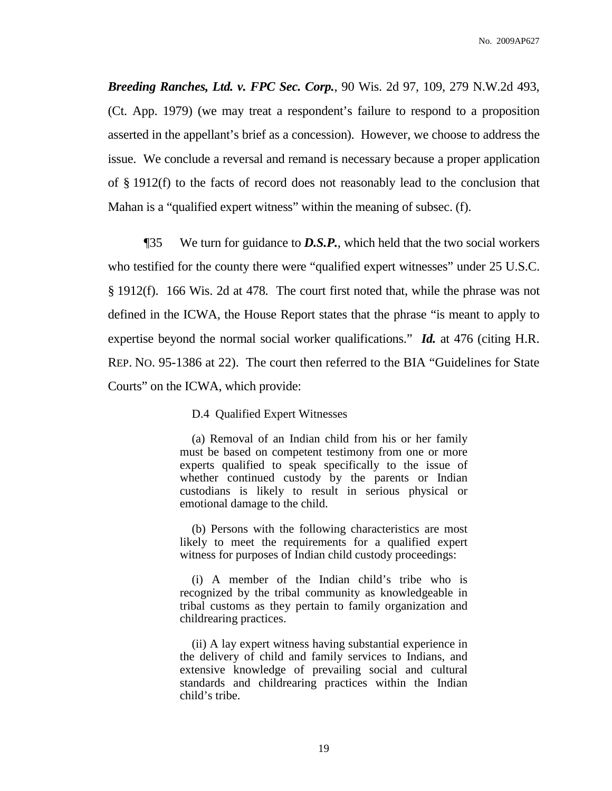*Breeding Ranches, Ltd. v. FPC Sec. Corp.*, 90 Wis. 2d 97, 109, 279 N.W.2d 493, (Ct. App. 1979) (we may treat a respondent's failure to respond to a proposition asserted in the appellant's brief as a concession). However, we choose to address the issue. We conclude a reversal and remand is necessary because a proper application of § 1912(f) to the facts of record does not reasonably lead to the conclusion that Mahan is a "qualified expert witness" within the meaning of subsec. (f).

¶35 We turn for guidance to *D.S.P.*, which held that the two social workers who testified for the county there were "qualified expert witnesses" under 25 U.S.C. § 1912(f). 166 Wis. 2d at 478. The court first noted that, while the phrase was not defined in the ICWA, the House Report states that the phrase "is meant to apply to expertise beyond the normal social worker qualifications." *Id.* at 476 (citing H.R. REP. NO. 95-1386 at 22). The court then referred to the BIA "Guidelines for State Courts" on the ICWA, which provide:

D.4 Qualified Expert Witnesses

(a) Removal of an Indian child from his or her family must be based on competent testimony from one or more experts qualified to speak specifically to the issue of whether continued custody by the parents or Indian custodians is likely to result in serious physical or emotional damage to the child.

(b) Persons with the following characteristics are most likely to meet the requirements for a qualified expert witness for purposes of Indian child custody proceedings:

(i) A member of the Indian child's tribe who is recognized by the tribal community as knowledgeable in tribal customs as they pertain to family organization and childrearing practices.

(ii) A lay expert witness having substantial experience in the delivery of child and family services to Indians, and extensive knowledge of prevailing social and cultural standards and childrearing practices within the Indian child's tribe.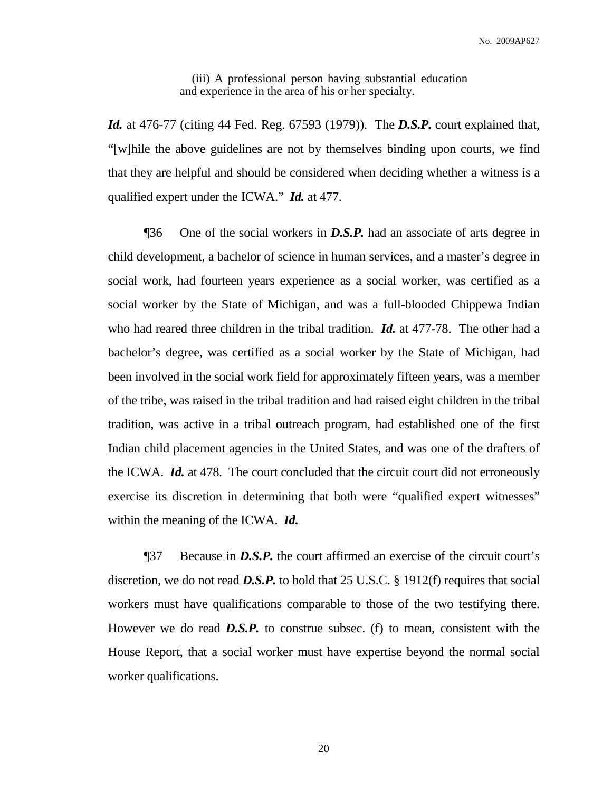(iii) A professional person having substantial education and experience in the area of his or her specialty.

*Id.* at 476-77 (citing 44 Fed. Reg. 67593 (1979)). The *D.S.P.* court explained that, "[w]hile the above guidelines are not by themselves binding upon courts, we find that they are helpful and should be considered when deciding whether a witness is a qualified expert under the ICWA." *Id.* at 477.

¶36 One of the social workers in *D.S.P.* had an associate of arts degree in child development, a bachelor of science in human services, and a master's degree in social work, had fourteen years experience as a social worker, was certified as a social worker by the State of Michigan, and was a full-blooded Chippewa Indian who had reared three children in the tribal tradition. *Id.* at 477-78. The other had a bachelor's degree, was certified as a social worker by the State of Michigan, had been involved in the social work field for approximately fifteen years, was a member of the tribe, was raised in the tribal tradition and had raised eight children in the tribal tradition, was active in a tribal outreach program, had established one of the first Indian child placement agencies in the United States, and was one of the drafters of the ICWA. *Id.* at 478. The court concluded that the circuit court did not erroneously exercise its discretion in determining that both were "qualified expert witnesses" within the meaning of the ICWA. *Id.*

¶37 Because in *D.S.P.* the court affirmed an exercise of the circuit court's discretion, we do not read *D.S.P.* to hold that 25 U.S.C. § 1912(f) requires that social workers must have qualifications comparable to those of the two testifying there. However we do read *D.S.P.* to construe subsec. (f) to mean, consistent with the House Report, that a social worker must have expertise beyond the normal social worker qualifications.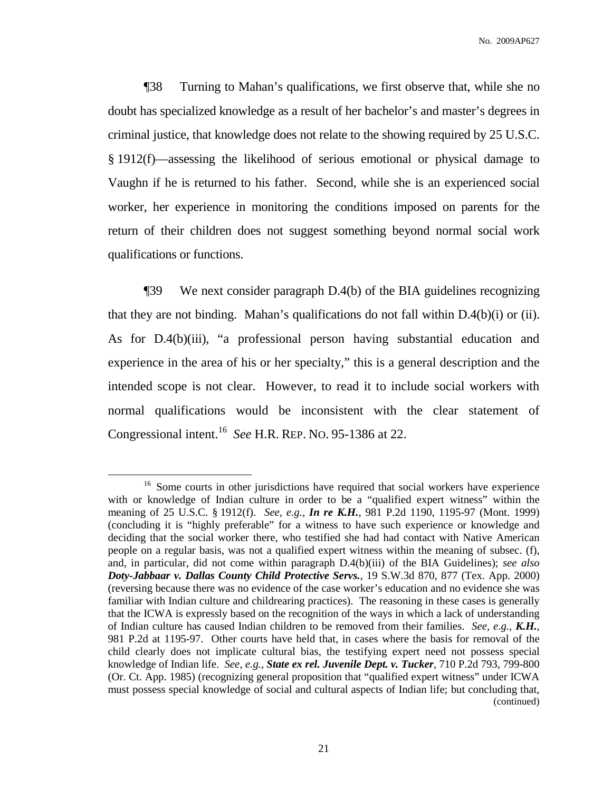¶38 Turning to Mahan's qualifications, we first observe that, while she no doubt has specialized knowledge as a result of her bachelor's and master's degrees in criminal justice, that knowledge does not relate to the showing required by 25 U.S.C. § 1912(f)—assessing the likelihood of serious emotional or physical damage to Vaughn if he is returned to his father. Second, while she is an experienced social worker, her experience in monitoring the conditions imposed on parents for the return of their children does not suggest something beyond normal social work qualifications or functions.

¶39 We next consider paragraph D.4(b) of the BIA guidelines recognizing that they are not binding. Mahan's qualifications do not fall within D.4(b)(i) or (ii). As for D.4(b)(iii), "a professional person having substantial education and experience in the area of his or her specialty," this is a general description and the intended scope is not clear. However, to read it to include social workers with normal qualifications would be inconsistent with the clear statement of Congressional intent. 16 *See* H.R. REP. NO. 95-1386 at 22.

<sup>&</sup>lt;sup>16</sup> Some courts in other jurisdictions have required that social workers have experience with or knowledge of Indian culture in order to be a "qualified expert witness" within the meaning of 25 U.S.C. § 1912(f). *See, e.g., In re K.H.*, 981 P.2d 1190, 1195-97 (Mont. 1999) (concluding it is "highly preferable" for a witness to have such experience or knowledge and deciding that the social worker there, who testified she had had contact with Native American people on a regular basis, was not a qualified expert witness within the meaning of subsec. (f), and, in particular, did not come within paragraph D.4(b)(iii) of the BIA Guidelines); *see also Doty-Jabbaar v. Dallas County Child Protective Servs.*, 19 S.W.3d 870, 877 (Tex. App. 2000) (reversing because there was no evidence of the case worker's education and no evidence she was familiar with Indian culture and childrearing practices). The reasoning in these cases is generally that the ICWA is expressly based on the recognition of the ways in which a lack of understanding of Indian culture has caused Indian children to be removed from their families. *See, e.g., K.H.*, 981 P.2d at 1195-97. Other courts have held that, in cases where the basis for removal of the child clearly does not implicate cultural bias, the testifying expert need not possess special knowledge of Indian life. *See, e.g., State ex rel. Juvenile Dept. v. Tucker*, 710 P.2d 793, 799-800 (Or. Ct. App. 1985) (recognizing general proposition that "qualified expert witness" under ICWA must possess special knowledge of social and cultural aspects of Indian life; but concluding that, (continued)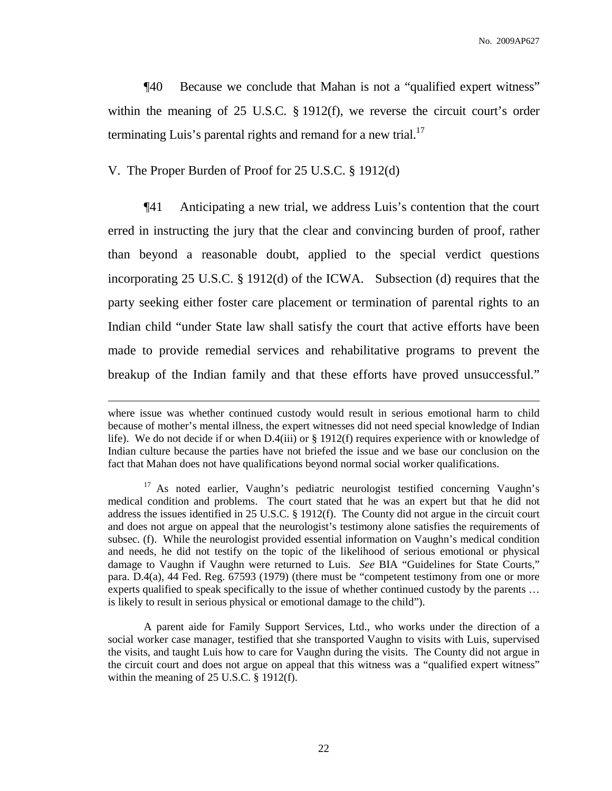¶40 Because we conclude that Mahan is not a "qualified expert witness" within the meaning of 25 U.S.C. § 1912(f), we reverse the circuit court's order terminating Luis's parental rights and remand for a new trial.<sup>17</sup>

# V. The Proper Burden of Proof for 25 U.S.C. § 1912(d)

¶41 Anticipating a new trial, we address Luis's contention that the court erred in instructing the jury that the clear and convincing burden of proof, rather than beyond a reasonable doubt, applied to the special verdict questions incorporating 25 U.S.C. § 1912(d) of the ICWA. Subsection (d) requires that the party seeking either foster care placement or termination of parental rights to an Indian child "under State law shall satisfy the court that active efforts have been made to provide remedial services and rehabilitative programs to prevent the breakup of the Indian family and that these efforts have proved unsuccessful."

where issue was whether continued custody would result in serious emotional harm to child because of mother's mental illness, the expert witnesses did not need special knowledge of Indian life). We do not decide if or when D.4(iii) or § 1912(f) requires experience with or knowledge of Indian culture because the parties have not briefed the issue and we base our conclusion on the fact that Mahan does not have qualifications beyond normal social worker qualifications.

<sup>&</sup>lt;sup>17</sup> As noted earlier, Vaughn's pediatric neurologist testified concerning Vaughn's medical condition and problems. The court stated that he was an expert but that he did not address the issues identified in 25 U.S.C. § 1912(f). The County did not argue in the circuit court and does not argue on appeal that the neurologist's testimony alone satisfies the requirements of subsec. (f). While the neurologist provided essential information on Vaughn's medical condition and needs, he did not testify on the topic of the likelihood of serious emotional or physical damage to Vaughn if Vaughn were returned to Luis. *See* BIA "Guidelines for State Courts," para. D.4(a), 44 Fed. Reg. 67593 (1979) (there must be "competent testimony from one or more experts qualified to speak specifically to the issue of whether continued custody by the parents ... is likely to result in serious physical or emotional damage to the child").

A parent aide for Family Support Services, Ltd., who works under the direction of a social worker case manager, testified that she transported Vaughn to visits with Luis, supervised the visits, and taught Luis how to care for Vaughn during the visits. The County did not argue in the circuit court and does not argue on appeal that this witness was a "qualified expert witness" within the meaning of 25 U.S.C. § 1912(f).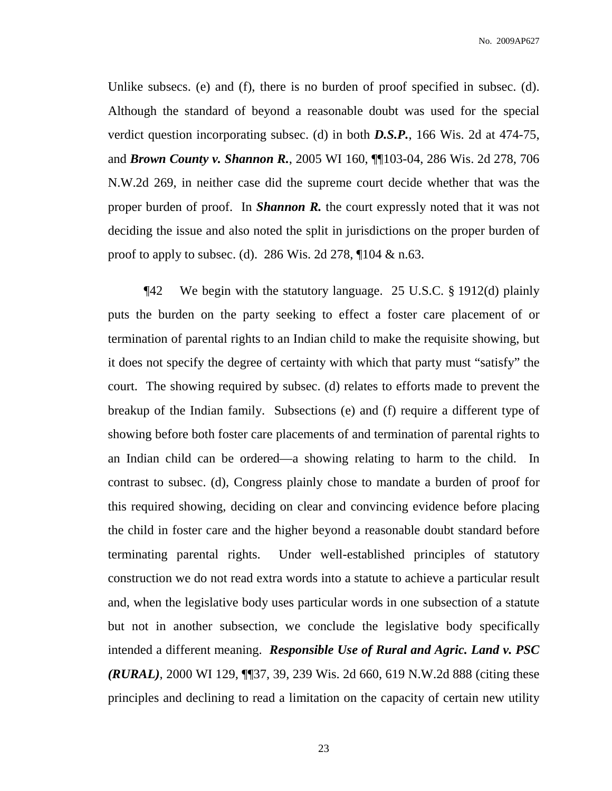No. 2009AP627

Unlike subsecs. (e) and (f), there is no burden of proof specified in subsec. (d). Although the standard of beyond a reasonable doubt was used for the special verdict question incorporating subsec. (d) in both *D.S.P.*, 166 Wis. 2d at 474-75, and *Brown County v. Shannon R.*, 2005 WI 160, ¶¶103-04, 286 Wis. 2d 278, 706 N.W.2d 269, in neither case did the supreme court decide whether that was the proper burden of proof. In *Shannon R.* the court expressly noted that it was not deciding the issue and also noted the split in jurisdictions on the proper burden of proof to apply to subsec. (d). 286 Wis. 2d 278, ¶104 & n.63.

¶42 We begin with the statutory language. 25 U.S.C. § 1912(d) plainly puts the burden on the party seeking to effect a foster care placement of or termination of parental rights to an Indian child to make the requisite showing, but it does not specify the degree of certainty with which that party must "satisfy" the court. The showing required by subsec. (d) relates to efforts made to prevent the breakup of the Indian family. Subsections (e) and (f) require a different type of showing before both foster care placements of and termination of parental rights to an Indian child can be ordered—a showing relating to harm to the child. In contrast to subsec. (d), Congress plainly chose to mandate a burden of proof for this required showing, deciding on clear and convincing evidence before placing the child in foster care and the higher beyond a reasonable doubt standard before terminating parental rights. Under well-established principles of statutory construction we do not read extra words into a statute to achieve a particular result and, when the legislative body uses particular words in one subsection of a statute but not in another subsection, we conclude the legislative body specifically intended a different meaning. *Responsible Use of Rural and Agric. Land v. PSC (RURAL)*, 2000 WI 129, ¶¶37, 39, 239 Wis. 2d 660, 619 N.W.2d 888 (citing these principles and declining to read a limitation on the capacity of certain new utility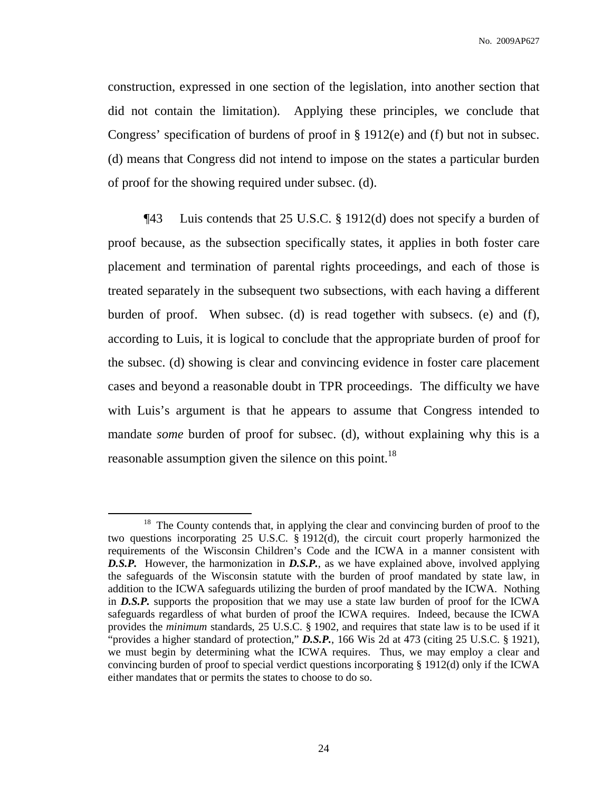construction, expressed in one section of the legislation, into another section that did not contain the limitation). Applying these principles, we conclude that Congress' specification of burdens of proof in § 1912(e) and (f) but not in subsec. (d) means that Congress did not intend to impose on the states a particular burden of proof for the showing required under subsec. (d).

¶43 Luis contends that 25 U.S.C. § 1912(d) does not specify a burden of proof because, as the subsection specifically states, it applies in both foster care placement and termination of parental rights proceedings, and each of those is treated separately in the subsequent two subsections, with each having a different burden of proof. When subsec. (d) is read together with subsecs. (e) and (f), according to Luis, it is logical to conclude that the appropriate burden of proof for the subsec. (d) showing is clear and convincing evidence in foster care placement cases and beyond a reasonable doubt in TPR proceedings. The difficulty we have with Luis's argument is that he appears to assume that Congress intended to mandate *some* burden of proof for subsec. (d), without explaining why this is a reasonable assumption given the silence on this point.<sup>18</sup>

<sup>&</sup>lt;sup>18</sup> The County contends that, in applying the clear and convincing burden of proof to the two questions incorporating 25 U.S.C. § 1912(d), the circuit court properly harmonized the requirements of the Wisconsin Children's Code and the ICWA in a manner consistent with *D.S.P.* However, the harmonization in *D.S.P.*, as we have explained above, involved applying the safeguards of the Wisconsin statute with the burden of proof mandated by state law, in addition to the ICWA safeguards utilizing the burden of proof mandated by the ICWA. Nothing in *D.S.P.* supports the proposition that we may use a state law burden of proof for the ICWA safeguards regardless of what burden of proof the ICWA requires. Indeed, because the ICWA provides the *minimum* standards, 25 U.S.C. § 1902, and requires that state law is to be used if it "provides a higher standard of protection," *D.S.P.*, 166 Wis 2d at 473 (citing 25 U.S.C. § 1921), we must begin by determining what the ICWA requires. Thus, we may employ a clear and convincing burden of proof to special verdict questions incorporating § 1912(d) only if the ICWA either mandates that or permits the states to choose to do so.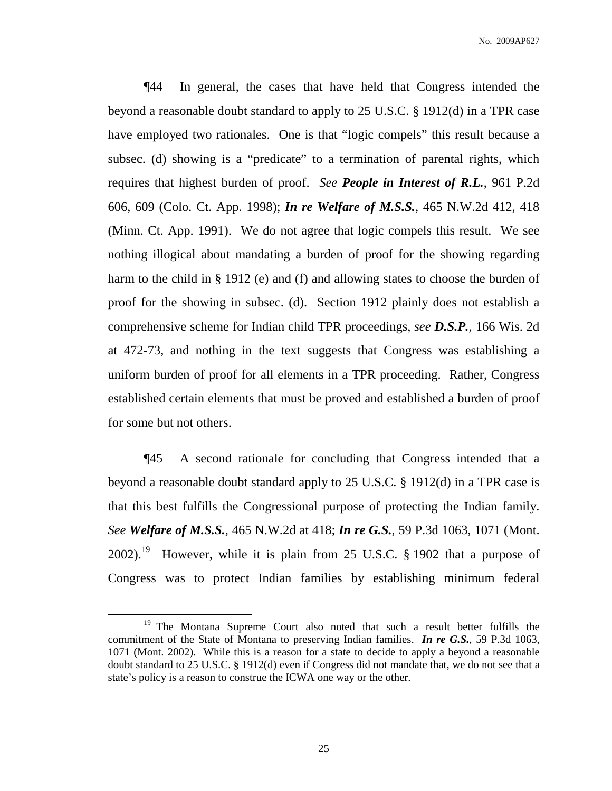¶44 In general, the cases that have held that Congress intended the beyond a reasonable doubt standard to apply to 25 U.S.C. § 1912(d) in a TPR case have employed two rationales. One is that "logic compels" this result because a subsec. (d) showing is a "predicate" to a termination of parental rights, which requires that highest burden of proof. *See People in Interest of R.L.*, 961 P.2d 606, 609 (Colo. Ct. App. 1998); *In re Welfare of M.S.S.*, 465 N.W.2d 412, 418 (Minn. Ct. App. 1991). We do not agree that logic compels this result. We see nothing illogical about mandating a burden of proof for the showing regarding harm to the child in § 1912 (e) and (f) and allowing states to choose the burden of proof for the showing in subsec. (d). Section 1912 plainly does not establish a comprehensive scheme for Indian child TPR proceedings, *see D.S.P.*, 166 Wis. 2d at 472-73, and nothing in the text suggests that Congress was establishing a uniform burden of proof for all elements in a TPR proceeding. Rather, Congress established certain elements that must be proved and established a burden of proof for some but not others.

¶45 A second rationale for concluding that Congress intended that a beyond a reasonable doubt standard apply to 25 U.S.C. § 1912(d) in a TPR case is that this best fulfills the Congressional purpose of protecting the Indian family. *See Welfare of M.S.S.*, 465 N.W.2d at 418; *In re G.S.*, 59 P.3d 1063, 1071 (Mont. 2002).<sup>19</sup> However, while it is plain from 25 U.S.C. § 1902 that a purpose of Congress was to protect Indian families by establishing minimum federal

<sup>&</sup>lt;sup>19</sup> The Montana Supreme Court also noted that such a result better fulfills the commitment of the State of Montana to preserving Indian families. *In re G.S.*, 59 P.3d 1063, 1071 (Mont. 2002). While this is a reason for a state to decide to apply a beyond a reasonable doubt standard to 25 U.S.C. § 1912(d) even if Congress did not mandate that, we do not see that a state's policy is a reason to construe the ICWA one way or the other.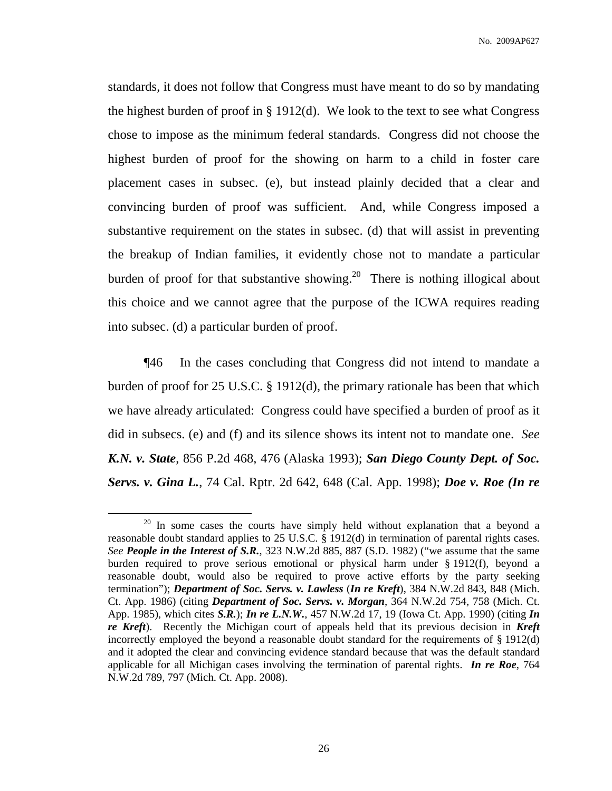standards, it does not follow that Congress must have meant to do so by mandating the highest burden of proof in  $\S 1912(d)$ . We look to the text to see what Congress chose to impose as the minimum federal standards. Congress did not choose the highest burden of proof for the showing on harm to a child in foster care placement cases in subsec. (e), but instead plainly decided that a clear and convincing burden of proof was sufficient. And, while Congress imposed a substantive requirement on the states in subsec. (d) that will assist in preventing the breakup of Indian families, it evidently chose not to mandate a particular burden of proof for that substantive showing.<sup>20</sup> There is nothing illogical about this choice and we cannot agree that the purpose of the ICWA requires reading into subsec. (d) a particular burden of proof.

¶46 In the cases concluding that Congress did not intend to mandate a burden of proof for 25 U.S.C. § 1912(d), the primary rationale has been that which we have already articulated: Congress could have specified a burden of proof as it did in subsecs. (e) and (f) and its silence shows its intent not to mandate one. *See K.N. v. State*, 856 P.2d 468, 476 (Alaska 1993); *San Diego County Dept. of Soc. Servs. v. Gina L.*, 74 Cal. Rptr. 2d 642, 648 (Cal. App. 1998); *Doe v. Roe (In re*

<sup>&</sup>lt;sup>20</sup> In some cases the courts have simply held without explanation that a beyond a reasonable doubt standard applies to 25 U.S.C. § 1912(d) in termination of parental rights cases. *See People in the Interest of S.R.*, 323 N.W.2d 885, 887 (S.D. 1982) ("we assume that the same burden required to prove serious emotional or physical harm under § 1912(f), beyond a reasonable doubt, would also be required to prove active efforts by the party seeking termination"); *Department of Soc. Servs. v. Lawless* (*In re Kreft*), 384 N.W.2d 843, 848 (Mich. Ct. App. 1986) (citing *Department of Soc. Servs. v. Morgan*, 364 N.W.2d 754, 758 (Mich. Ct. App. 1985), which cites *S.R.*); *In re L.N.W.*, 457 N.W.2d 17, 19 (Iowa Ct. App. 1990) (citing *In re Kreft*). Recently the Michigan court of appeals held that its previous decision in *Kreft* incorrectly employed the beyond a reasonable doubt standard for the requirements of  $\S 1912(d)$ and it adopted the clear and convincing evidence standard because that was the default standard applicable for all Michigan cases involving the termination of parental rights. *In re Roe*, 764 N.W.2d 789, 797 (Mich. Ct. App. 2008).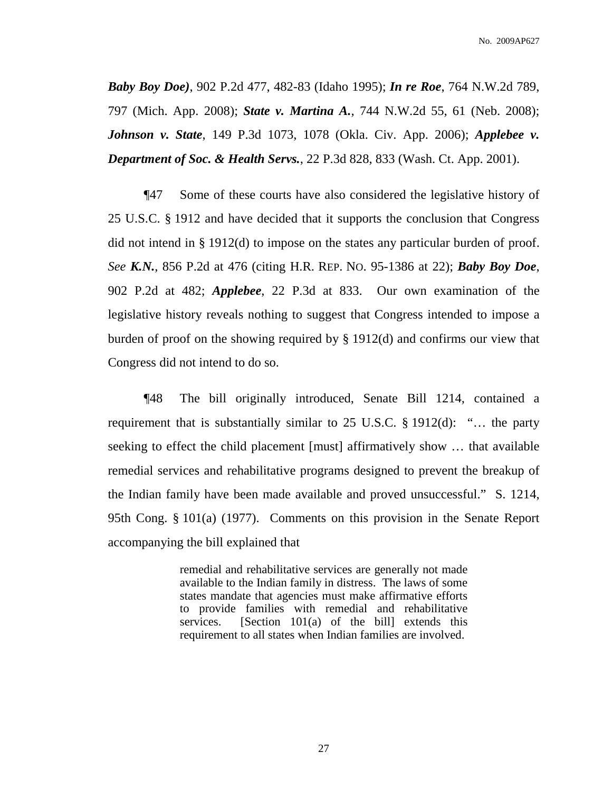*Baby Boy Doe)*, 902 P.2d 477, 482-83 (Idaho 1995); *In re Roe*, 764 N.W.2d 789, 797 (Mich. App. 2008); *State v. Martina A.*, 744 N.W.2d 55, 61 (Neb. 2008); *Johnson v. State*, 149 P.3d 1073, 1078 (Okla. Civ. App. 2006); *Applebee v. Department of Soc. & Health Servs.*, 22 P.3d 828, 833 (Wash. Ct. App. 2001).

¶47 Some of these courts have also considered the legislative history of 25 U.S.C. § 1912 and have decided that it supports the conclusion that Congress did not intend in § 1912(d) to impose on the states any particular burden of proof. *See K.N.*, 856 P.2d at 476 (citing H.R. REP. NO. 95-1386 at 22); *Baby Boy Doe*, 902 P.2d at 482; *Applebee*, 22 P.3d at 833. Our own examination of the legislative history reveals nothing to suggest that Congress intended to impose a burden of proof on the showing required by § 1912(d) and confirms our view that Congress did not intend to do so.

¶48 The bill originally introduced, Senate Bill 1214, contained a requirement that is substantially similar to 25 U.S.C. § 1912(d): "… the party seeking to effect the child placement [must] affirmatively show … that available remedial services and rehabilitative programs designed to prevent the breakup of the Indian family have been made available and proved unsuccessful." S. 1214, 95th Cong. § 101(a) (1977). Comments on this provision in the Senate Report accompanying the bill explained that

> remedial and rehabilitative services are generally not made available to the Indian family in distress. The laws of some states mandate that agencies must make affirmative efforts to provide families with remedial and rehabilitative services. [Section 101(a) of the bill] extends this requirement to all states when Indian families are involved.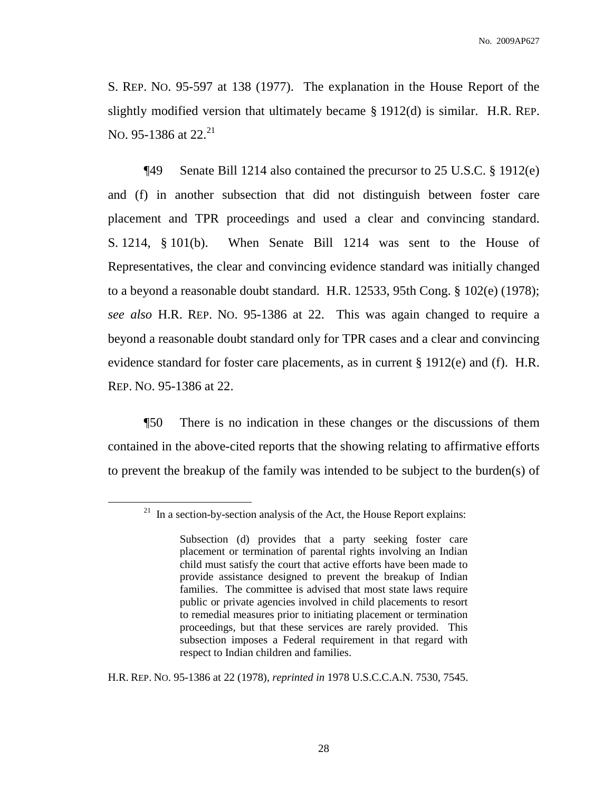S. REP. NO. 95-597 at 138 (1977). The explanation in the House Report of the slightly modified version that ultimately became § 1912(d) is similar. H.R. REP. No. 95-1386 at 22.<sup>21</sup>

¶49 Senate Bill 1214 also contained the precursor to 25 U.S.C. § 1912(e) and (f) in another subsection that did not distinguish between foster care placement and TPR proceedings and used a clear and convincing standard. S. 1214, § 101(b). When Senate Bill 1214 was sent to the House of Representatives, the clear and convincing evidence standard was initially changed to a beyond a reasonable doubt standard. H.R. 12533, 95th Cong. § 102(e) (1978); *see also* H.R. REP. NO. 95-1386 at 22. This was again changed to require a beyond a reasonable doubt standard only for TPR cases and a clear and convincing evidence standard for foster care placements, as in current § 1912(e) and (f). H.R. REP. NO. 95-1386 at 22.

¶50 There is no indication in these changes or the discussions of them contained in the above-cited reports that the showing relating to affirmative efforts to prevent the breakup of the family was intended to be subject to the burden(s) of

H.R. REP. NO. 95-1386 at 22 (1978), *reprinted in* 1978 U.S.C.C.A.N. 7530, 7545.

 $21$  In a section-by-section analysis of the Act, the House Report explains:

Subsection (d) provides that a party seeking foster care placement or termination of parental rights involving an Indian child must satisfy the court that active efforts have been made to provide assistance designed to prevent the breakup of Indian families. The committee is advised that most state laws require public or private agencies involved in child placements to resort to remedial measures prior to initiating placement or termination proceedings, but that these services are rarely provided. This subsection imposes a Federal requirement in that regard with respect to Indian children and families.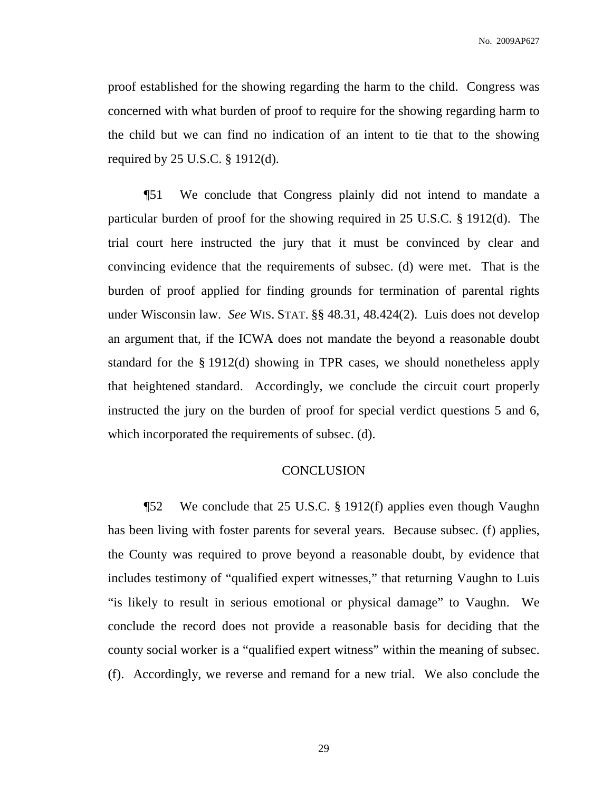proof established for the showing regarding the harm to the child. Congress was concerned with what burden of proof to require for the showing regarding harm to the child but we can find no indication of an intent to tie that to the showing required by 25 U.S.C. § 1912(d).

¶51 We conclude that Congress plainly did not intend to mandate a particular burden of proof for the showing required in 25 U.S.C. § 1912(d). The trial court here instructed the jury that it must be convinced by clear and convincing evidence that the requirements of subsec. (d) were met. That is the burden of proof applied for finding grounds for termination of parental rights under Wisconsin law. *See* WIS. STAT. §§ 48.31, 48.424(2). Luis does not develop an argument that, if the ICWA does not mandate the beyond a reasonable doubt standard for the § 1912(d) showing in TPR cases, we should nonetheless apply that heightened standard. Accordingly, we conclude the circuit court properly instructed the jury on the burden of proof for special verdict questions 5 and 6, which incorporated the requirements of subsec. (d).

# **CONCLUSION**

¶52 We conclude that 25 U.S.C. § 1912(f) applies even though Vaughn has been living with foster parents for several years. Because subsec. (f) applies, the County was required to prove beyond a reasonable doubt, by evidence that includes testimony of "qualified expert witnesses," that returning Vaughn to Luis "is likely to result in serious emotional or physical damage" to Vaughn. We conclude the record does not provide a reasonable basis for deciding that the county social worker is a "qualified expert witness" within the meaning of subsec. (f). Accordingly, we reverse and remand for a new trial. We also conclude the